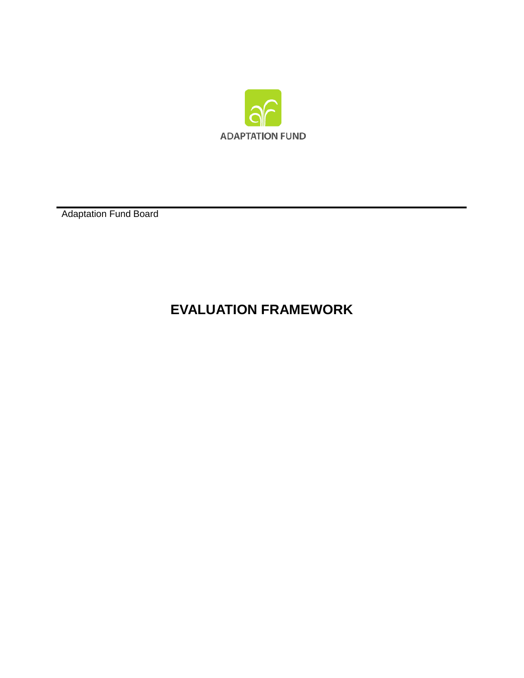

Adaptation Fund Board

# **EVALUATION FRAMEWORK**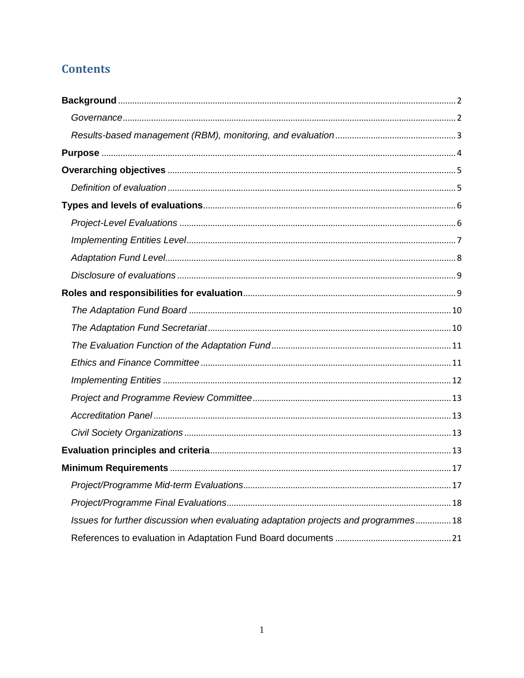# **Contents**

| Issues for further discussion when evaluating adaptation projects and programmes 18 |
|-------------------------------------------------------------------------------------|
|                                                                                     |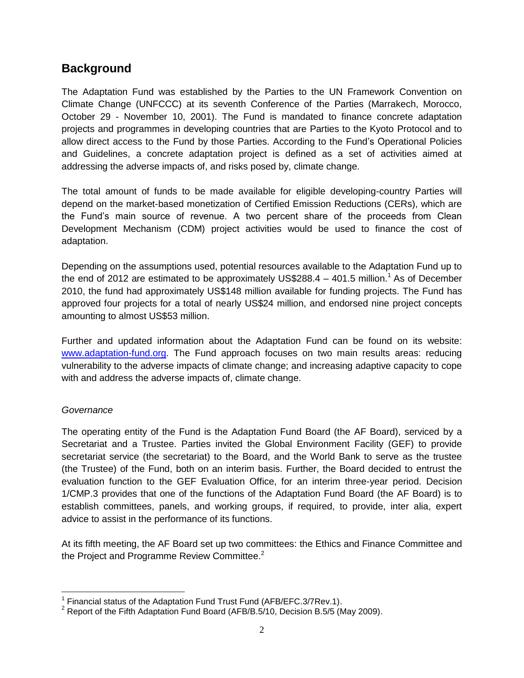# <span id="page-2-0"></span>**Background**

The Adaptation Fund was established by the Parties to the UN Framework Convention on Climate Change (UNFCCC) at its seventh Conference of the Parties (Marrakech, Morocco, October 29 - November 10, 2001). The Fund is mandated to finance concrete adaptation projects and programmes in developing countries that are Parties to the Kyoto Protocol and to allow direct access to the Fund by those Parties. According to the Fund's Operational Policies and Guidelines, a concrete adaptation project is defined as a set of activities aimed at addressing the adverse impacts of, and risks posed by, climate change.

The total amount of funds to be made available for eligible developing-country Parties will depend on the market-based monetization of Certified Emission Reductions (CERs), which are the Fund's main source of revenue. A two percent share of the proceeds from Clean Development Mechanism (CDM) project activities would be used to finance the cost of adaptation.

Depending on the assumptions used, potential resources available to the Adaptation Fund up to the end of 2012 are estimated to be approximately US\$288.4  $-$  401.5 million.<sup>1</sup> As of December 2010, the fund had approximately US\$148 million available for funding projects. The Fund has approved four projects for a total of nearly US\$24 million, and endorsed nine project concepts amounting to almost US\$53 million.

Further and updated information about the Adaptation Fund can be found on its website: [www.adaptation-fund.org.](http://www.adaptation-fund.org/) The Fund approach focuses on two main results areas: reducing vulnerability to the adverse impacts of climate change; and increasing adaptive capacity to cope with and address the adverse impacts of, climate change.

### <span id="page-2-1"></span>*Governance*

 $\overline{a}$ 

The operating entity of the Fund is the Adaptation Fund Board (the AF Board), serviced by a Secretariat and a Trustee. Parties invited the Global Environment Facility (GEF) to provide secretariat service (the secretariat) to the Board, and the World Bank to serve as the trustee (the Trustee) of the Fund, both on an interim basis. Further, the Board decided to entrust the evaluation function to the GEF Evaluation Office, for an interim three-year period. Decision 1/CMP.3 provides that one of the functions of the Adaptation Fund Board (the AF Board) is to establish committees, panels, and working groups, if required, to provide, inter alia, expert advice to assist in the performance of its functions.

At its fifth meeting, the AF Board set up two committees: the Ethics and Finance Committee and the Project and Programme Review Committee.<sup>2</sup>

<sup>&</sup>lt;sup>1</sup> Financial status of the Adaptation Fund Trust Fund (AFB/EFC.3/7Rev.1).

<sup>&</sup>lt;sup>2</sup> Report of the Fifth Adaptation Fund Board (AFB/B.5/10, Decision B.5/5 (May 2009).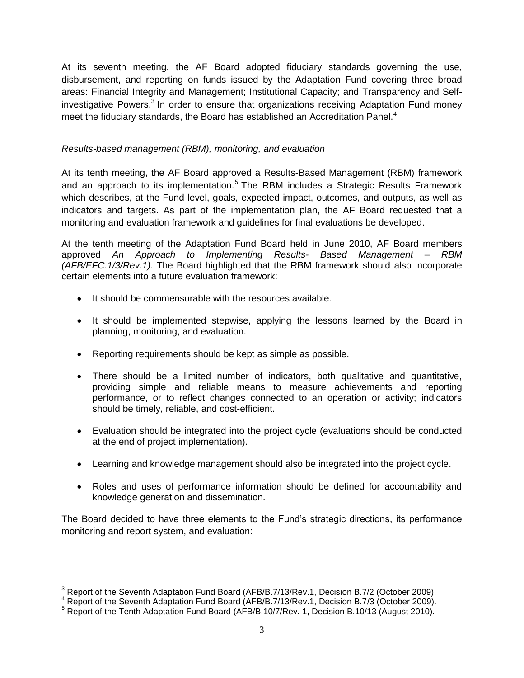At its seventh meeting, the AF Board adopted fiduciary standards governing the use, disbursement, and reporting on funds issued by the Adaptation Fund covering three broad areas: Financial Integrity and Management; Institutional Capacity; and Transparency and Selfinvestigative Powers.<sup>3</sup> In order to ensure that organizations receiving Adaptation Fund money meet the fiduciary standards, the Board has established an Accreditation Panel.<sup>4</sup>

#### <span id="page-3-0"></span>*Results-based management (RBM), monitoring, and evaluation*

At its tenth meeting, the AF Board approved a Results-Based Management (RBM) framework and an approach to its implementation.<sup>5</sup> The RBM includes a Strategic Results Framework which describes, at the Fund level, goals, expected impact, outcomes, and outputs, as well as indicators and targets. As part of the implementation plan, the AF Board requested that a monitoring and evaluation framework and guidelines for final evaluations be developed.

At the tenth meeting of the Adaptation Fund Board held in June 2010, AF Board members approved *An Approach to Implementing Results- Based Management – RBM (AFB/EFC.1/3/Rev.1)*. The Board highlighted that the RBM framework should also incorporate certain elements into a future evaluation framework:

- It should be commensurable with the resources available.
- It should be implemented stepwise, applying the lessons learned by the Board in planning, monitoring, and evaluation.
- Reporting requirements should be kept as simple as possible.
- There should be a limited number of indicators, both qualitative and quantitative, providing simple and reliable means to measure achievements and reporting performance, or to reflect changes connected to an operation or activity; indicators should be timely, reliable, and cost-efficient.
- Evaluation should be integrated into the project cycle (evaluations should be conducted at the end of project implementation).
- Learning and knowledge management should also be integrated into the project cycle.
- Roles and uses of performance information should be defined for accountability and knowledge generation and dissemination.

The Board decided to have three elements to the Fund's strategic directions, its performance monitoring and report system, and evaluation:

 $\overline{a}$ 

<sup>&</sup>lt;sup>3</sup> Report of the Seventh Adaptation Fund Board (AFB/B.7/13/Rev.1, Decision B.7/2 (October 2009).

<sup>4</sup> Report of the Seventh Adaptation Fund Board (AFB/B.7/13/Rev.1, Decision B.7/3 (October 2009).

<sup>&</sup>lt;sup>5</sup> Report of the Tenth Adaptation Fund Board (AFB/B.10/7/Rev. 1, Decision B.10/13 (August 2010).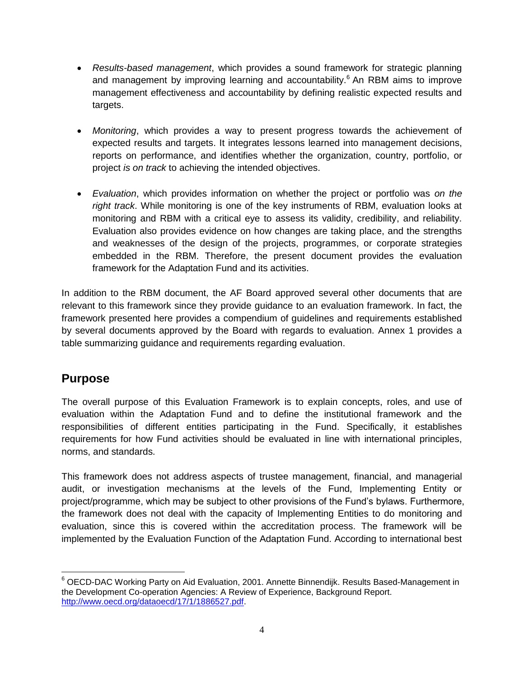- *Results-based management*, which provides a sound framework for strategic planning and management by improving learning and accountability.<sup>6</sup> An RBM aims to improve management effectiveness and accountability by defining realistic expected results and targets.
- *Monitoring*, which provides a way to present progress towards the achievement of expected results and targets. It integrates lessons learned into management decisions, reports on performance, and identifies whether the organization, country, portfolio, or project *is on track* to achieving the intended objectives.
- *Evaluation*, which provides information on whether the project or portfolio was *on the right track*. While monitoring is one of the key instruments of RBM, evaluation looks at monitoring and RBM with a critical eye to assess its validity, credibility, and reliability. Evaluation also provides evidence on how changes are taking place, and the strengths and weaknesses of the design of the projects, programmes, or corporate strategies embedded in the RBM. Therefore, the present document provides the evaluation framework for the Adaptation Fund and its activities.

In addition to the RBM document, the AF Board approved several other documents that are relevant to this framework since they provide guidance to an evaluation framework. In fact, the framework presented here provides a compendium of guidelines and requirements established by several documents approved by the Board with regards to evaluation. Annex 1 provides a table summarizing guidance and requirements regarding evaluation.

# <span id="page-4-0"></span>**Purpose**

The overall purpose of this Evaluation Framework is to explain concepts, roles, and use of evaluation within the Adaptation Fund and to define the institutional framework and the responsibilities of different entities participating in the Fund. Specifically, it establishes requirements for how Fund activities should be evaluated in line with international principles, norms, and standards.

This framework does not address aspects of trustee management, financial, and managerial audit, or investigation mechanisms at the levels of the Fund, Implementing Entity or project/programme, which may be subject to other provisions of the Fund's bylaws. Furthermore, the framework does not deal with the capacity of Implementing Entities to do monitoring and evaluation, since this is covered within the accreditation process. The framework will be implemented by the Evaluation Function of the Adaptation Fund. According to international best

 $\overline{a}$ <sup>6</sup> OECD-DAC Working Party on Aid Evaluation, 2001. Annette Binnendijk. Results Based-Management in the Development Co-operation Agencies: A Review of Experience, Background Report. [http://www.oecd.org/dataoecd/17/1/1886527.pdf.](http://www.oecd.org/dataoecd/17/1/1886527.pdf)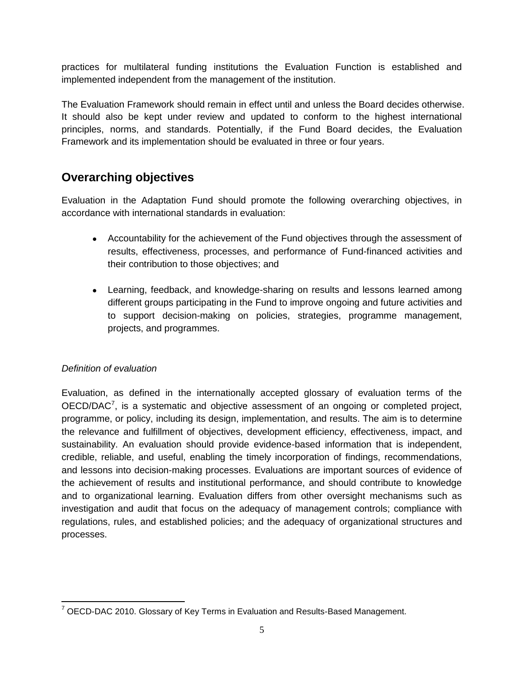practices for multilateral funding institutions the Evaluation Function is established and implemented independent from the management of the institution.

The Evaluation Framework should remain in effect until and unless the Board decides otherwise. It should also be kept under review and updated to conform to the highest international principles, norms, and standards. Potentially, if the Fund Board decides, the Evaluation Framework and its implementation should be evaluated in three or four years.

# <span id="page-5-0"></span>**Overarching objectives**

Evaluation in the Adaptation Fund should promote the following overarching objectives, in accordance with international standards in evaluation:

- Accountability for the achievement of the Fund objectives through the assessment of results, effectiveness, processes, and performance of Fund-financed activities and their contribution to those objectives; and
- Learning, feedback, and knowledge-sharing on results and lessons learned among different groups participating in the Fund to improve ongoing and future activities and to support decision-making on policies, strategies, programme management, projects, and programmes.

### <span id="page-5-1"></span>*Definition of evaluation*

Evaluation, as defined in the internationally accepted glossary of evaluation terms of the  $OECD/DAC<sup>7</sup>$ , is a systematic and objective assessment of an ongoing or completed project, programme, or policy, including its design, implementation, and results. The aim is to determine the relevance and fulfillment of objectives, development efficiency, effectiveness, impact, and sustainability. An evaluation should provide evidence-based information that is independent, credible, reliable, and useful, enabling the timely incorporation of findings, recommendations, and lessons into decision-making processes. Evaluations are important sources of evidence of the achievement of results and institutional performance, and should contribute to knowledge and to organizational learning. Evaluation differs from other oversight mechanisms such as investigation and audit that focus on the adequacy of management controls; compliance with regulations, rules, and established policies; and the adequacy of organizational structures and processes.

 $\overline{a}$  $7$  OECD-DAC 2010. Glossary of Key Terms in Evaluation and Results-Based Management.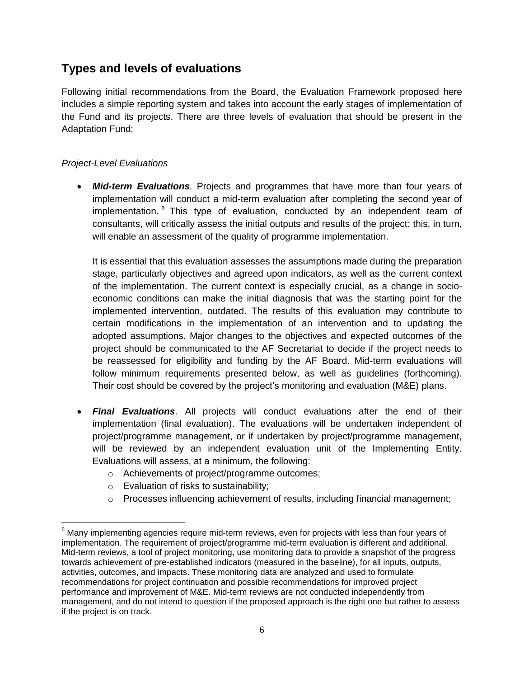# <span id="page-6-0"></span>**Types and levels of evaluations**

Following initial recommendations from the Board, the Evaluation Framework proposed here includes a simple reporting system and takes into account the early stages of implementation of the Fund and its projects. There are three levels of evaluation that should be present in the Adaptation Fund:

### <span id="page-6-1"></span>*Project-Level Evaluations*

 $\overline{a}$ 

 *Mid-term Evaluations.* Projects and programmes that have more than four years of implementation will conduct a mid-term evaluation after completing the second year of implementation. <sup>8</sup> This type of evaluation, conducted by an independent team of consultants, will critically assess the initial outputs and results of the project; this, in turn, will enable an assessment of the quality of programme implementation.

It is essential that this evaluation assesses the assumptions made during the preparation stage, particularly objectives and agreed upon indicators, as well as the current context of the implementation. The current context is especially crucial, as a change in socioeconomic conditions can make the initial diagnosis that was the starting point for the implemented intervention, outdated. The results of this evaluation may contribute to certain modifications in the implementation of an intervention and to updating the adopted assumptions. Major changes to the objectives and expected outcomes of the project should be communicated to the AF Secretariat to decide if the project needs to be reassessed for eligibility and funding by the AF Board. Mid-term evaluations will follow minimum requirements presented below, as well as guidelines (forthcoming). Their cost should be covered by the project's monitoring and evaluation (M&E) plans.

- *Final Evaluations*. All projects will conduct evaluations after the end of their implementation (final evaluation). The evaluations will be undertaken independent of project/programme management, or if undertaken by project/programme management, will be reviewed by an independent evaluation unit of the Implementing Entity. Evaluations will assess, at a minimum, the following:
	- o Achievements of project/programme outcomes;
	- o Evaluation of risks to sustainability;
	- o Processes influencing achievement of results, including financial management;

<sup>&</sup>lt;sup>8</sup> Many implementing agencies require mid-term reviews, even for projects with less than four years of implementation. The requirement of project/programme mid-term evaluation is different and additional. Mid-term reviews, a tool of project monitoring, use monitoring data to provide a snapshot of the progress towards achievement of pre-established indicators (measured in the baseline), for all inputs, outputs, activities, outcomes, and impacts. These monitoring data are analyzed and used to formulate recommendations for project continuation and possible recommendations for improved project performance and improvement of M&E. Mid-term reviews are not conducted independently from management, and do not intend to question if the proposed approach is the right one but rather to assess if the project is on track.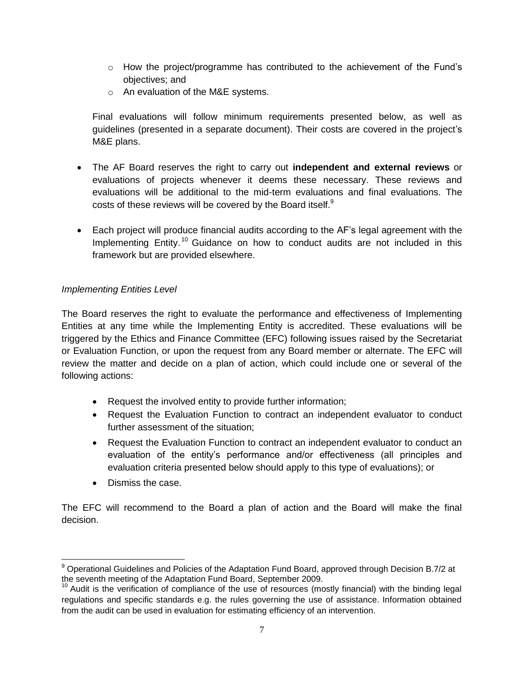- $\circ$  How the project/programme has contributed to the achievement of the Fund's objectives; and
- o An evaluation of the M&E systems.

Final evaluations will follow minimum requirements presented below, as well as guidelines (presented in a separate document). Their costs are covered in the project's M&E plans.

- The AF Board reserves the right to carry out **independent and external reviews** or evaluations of projects whenever it deems these necessary. These reviews and evaluations will be additional to the mid-term evaluations and final evaluations. The costs of these reviews will be covered by the Board itself.<sup>9</sup>
- Each project will produce financial audits according to the AF's legal agreement with the Implementing Entity.<sup>10</sup> Guidance on how to conduct audits are not included in this framework but are provided elsewhere.

### <span id="page-7-0"></span>*Implementing Entities Level*

The Board reserves the right to evaluate the performance and effectiveness of Implementing Entities at any time while the Implementing Entity is accredited. These evaluations will be triggered by the Ethics and Finance Committee (EFC) following issues raised by the Secretariat or Evaluation Function, or upon the request from any Board member or alternate. The EFC will review the matter and decide on a plan of action, which could include one or several of the following actions:

- Request the involved entity to provide further information;
- Request the Evaluation Function to contract an independent evaluator to conduct further assessment of the situation;
- Request the Evaluation Function to contract an independent evaluator to conduct an evaluation of the entity's performance and/or effectiveness (all principles and evaluation criteria presented below should apply to this type of evaluations); or
- Dismiss the case.

 $\overline{a}$ 

The EFC will recommend to the Board a plan of action and the Board will make the final decision.

 $9$  Operational Guidelines and Policies of the Adaptation Fund Board, approved through Decision B.7/2 at the seventh meeting of the Adaptation Fund Board, September 2009.

<sup>&</sup>lt;sup>10</sup> Audit is the verification of compliance of the use of resources (mostly financial) with the binding legal regulations and specific standards e.g. the rules governing the use of assistance. Information obtained from the audit can be used in evaluation for estimating efficiency of an intervention.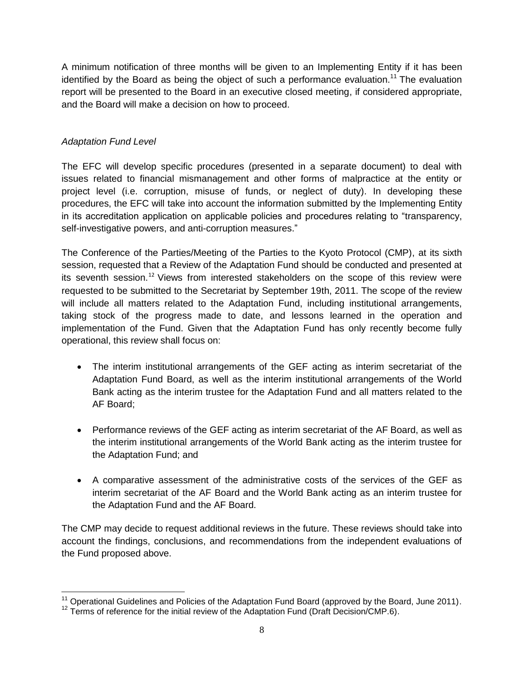A minimum notification of three months will be given to an Implementing Entity if it has been identified by the Board as being the object of such a performance evaluation.<sup>11</sup> The evaluation report will be presented to the Board in an executive closed meeting, if considered appropriate, and the Board will make a decision on how to proceed.

### <span id="page-8-0"></span>*Adaptation Fund Level*

 $\overline{a}$ 

The EFC will develop specific procedures (presented in a separate document) to deal with issues related to financial mismanagement and other forms of malpractice at the entity or project level (i.e. corruption, misuse of funds, or neglect of duty). In developing these procedures, the EFC will take into account the information submitted by the Implementing Entity in its accreditation application on applicable policies and procedures relating to "transparency, self-investigative powers, and anti-corruption measures."

The Conference of the Parties/Meeting of the Parties to the Kyoto Protocol (CMP), at its sixth session, requested that a Review of the Adaptation Fund should be conducted and presented at its seventh session.<sup>12</sup> Views from interested stakeholders on the scope of this review were requested to be submitted to the Secretariat by September 19th, 2011. The scope of the review will include all matters related to the Adaptation Fund, including institutional arrangements, taking stock of the progress made to date, and lessons learned in the operation and implementation of the Fund. Given that the Adaptation Fund has only recently become fully operational, this review shall focus on:

- The interim institutional arrangements of the GEF acting as interim secretariat of the Adaptation Fund Board, as well as the interim institutional arrangements of the World Bank acting as the interim trustee for the Adaptation Fund and all matters related to the AF Board;
- Performance reviews of the GEF acting as interim secretariat of the AF Board, as well as the interim institutional arrangements of the World Bank acting as the interim trustee for the Adaptation Fund; and
- A comparative assessment of the administrative costs of the services of the GEF as interim secretariat of the AF Board and the World Bank acting as an interim trustee for the Adaptation Fund and the AF Board.

The CMP may decide to request additional reviews in the future. These reviews should take into account the findings, conclusions, and recommendations from the independent evaluations of the Fund proposed above.

 $11$  Operational Guidelines and Policies of the Adaptation Fund Board (approved by the Board, June 2011).

<sup>&</sup>lt;sup>12</sup> Terms of reference for the initial review of the Adaptation Fund (Draft Decision/CMP.6).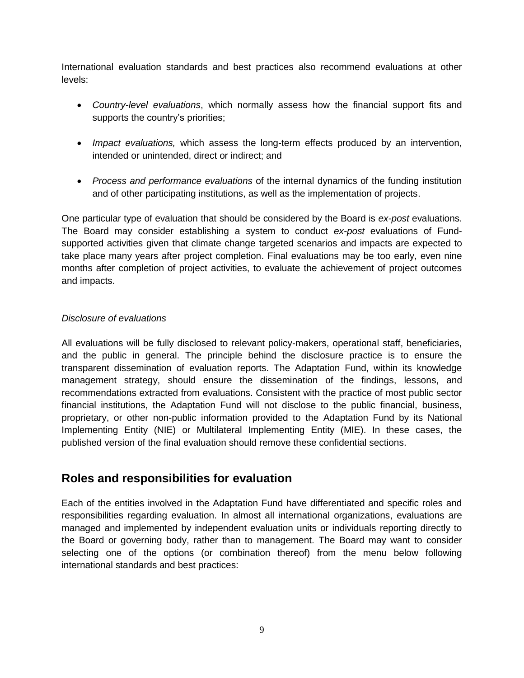International evaluation standards and best practices also recommend evaluations at other levels:

- *Country-level evaluations*, which normally assess how the financial support fits and supports the country's priorities;
- *Impact evaluations,* which assess the long-term effects produced by an intervention, intended or unintended, direct or indirect; and
- *Process and performance evaluations* of the internal dynamics of the funding institution and of other participating institutions, as well as the implementation of projects.

One particular type of evaluation that should be considered by the Board is *ex-post* evaluations. The Board may consider establishing a system to conduct *ex-post* evaluations of Fundsupported activities given that climate change targeted scenarios and impacts are expected to take place many years after project completion. Final evaluations may be too early, even nine months after completion of project activities, to evaluate the achievement of project outcomes and impacts.

#### <span id="page-9-0"></span>*Disclosure of evaluations*

All evaluations will be fully disclosed to relevant policy-makers, operational staff, beneficiaries, and the public in general. The principle behind the disclosure practice is to ensure the transparent dissemination of evaluation reports. The Adaptation Fund, within its knowledge management strategy, should ensure the dissemination of the findings, lessons, and recommendations extracted from evaluations. Consistent with the practice of most public sector financial institutions, the Adaptation Fund will not disclose to the public financial, business, proprietary, or other non-public information provided to the Adaptation Fund by its National Implementing Entity (NIE) or Multilateral Implementing Entity (MIE). In these cases, the published version of the final evaluation should remove these confidential sections.

## <span id="page-9-1"></span>**Roles and responsibilities for evaluation**

<span id="page-9-2"></span>Each of the entities involved in the Adaptation Fund have differentiated and specific roles and responsibilities regarding evaluation. In almost all international organizations, evaluations are managed and implemented by independent evaluation units or individuals reporting directly to the Board or governing body, rather than to management. The Board may want to consider selecting one of the options (or combination thereof) from the menu below following international standards and best practices: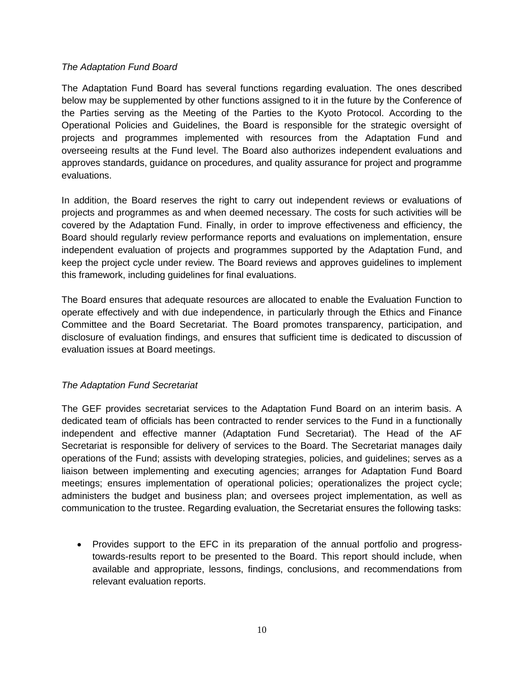#### *The Adaptation Fund Board*

The Adaptation Fund Board has several functions regarding evaluation. The ones described below may be supplemented by other functions assigned to it in the future by the Conference of the Parties serving as the Meeting of the Parties to the Kyoto Protocol. According to the Operational Policies and Guidelines, the Board is responsible for the strategic oversight of projects and programmes implemented with resources from the Adaptation Fund and overseeing results at the Fund level. The Board also authorizes independent evaluations and approves standards, guidance on procedures, and quality assurance for project and programme evaluations.

In addition, the Board reserves the right to carry out independent reviews or evaluations of projects and programmes as and when deemed necessary. The costs for such activities will be covered by the Adaptation Fund. Finally, in order to improve effectiveness and efficiency, the Board should regularly review performance reports and evaluations on implementation, ensure independent evaluation of projects and programmes supported by the Adaptation Fund, and keep the project cycle under review. The Board reviews and approves guidelines to implement this framework, including guidelines for final evaluations.

The Board ensures that adequate resources are allocated to enable the Evaluation Function to operate effectively and with due independence, in particularly through the Ethics and Finance Committee and the Board Secretariat. The Board promotes transparency, participation, and disclosure of evaluation findings, and ensures that sufficient time is dedicated to discussion of evaluation issues at Board meetings.

### <span id="page-10-0"></span>*The Adaptation Fund Secretariat*

The GEF provides secretariat services to the Adaptation Fund Board on an interim basis. A dedicated team of officials has been contracted to render services to the Fund in a functionally independent and effective manner (Adaptation Fund Secretariat). The Head of the AF Secretariat is responsible for delivery of services to the Board. The Secretariat manages daily operations of the Fund; assists with developing strategies, policies, and guidelines; serves as a liaison between implementing and executing agencies; arranges for Adaptation Fund Board meetings; ensures implementation of operational policies; operationalizes the project cycle; administers the budget and business plan; and oversees project implementation, as well as communication to the trustee. Regarding evaluation, the Secretariat ensures the following tasks:

• Provides support to the EFC in its preparation of the annual portfolio and progresstowards-results report to be presented to the Board. This report should include, when available and appropriate, lessons, findings, conclusions, and recommendations from relevant evaluation reports.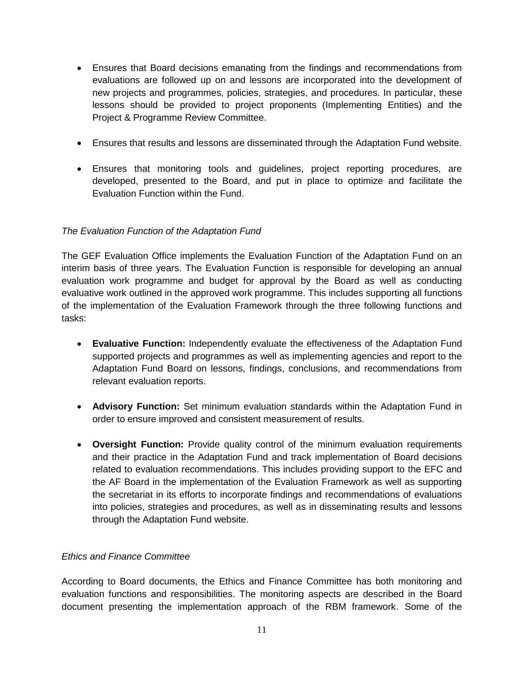- Ensures that Board decisions emanating from the findings and recommendations from evaluations are followed up on and lessons are incorporated into the development of new projects and programmes, policies, strategies, and procedures. In particular, these lessons should be provided to project proponents (Implementing Entities) and the Project & Programme Review Committee.
- Ensures that results and lessons are disseminated through the Adaptation Fund website.
- Ensures that monitoring tools and guidelines, project reporting procedures, are developed, presented to the Board, and put in place to optimize and facilitate the Evaluation Function within the Fund.

### <span id="page-11-0"></span>*The Evaluation Function of the Adaptation Fund*

The GEF Evaluation Office implements the Evaluation Function of the Adaptation Fund on an interim basis of three years. The Evaluation Function is responsible for developing an annual evaluation work programme and budget for approval by the Board as well as conducting evaluative work outlined in the approved work programme. This includes supporting all functions of the implementation of the Evaluation Framework through the three following functions and tasks:

- **Evaluative Function:** Independently evaluate the effectiveness of the Adaptation Fund supported projects and programmes as well as implementing agencies and report to the Adaptation Fund Board on lessons, findings, conclusions, and recommendations from relevant evaluation reports.
- **Advisory Function:** Set minimum evaluation standards within the Adaptation Fund in order to ensure improved and consistent measurement of results.
- **Oversight Function:** Provide quality control of the minimum evaluation requirements and their practice in the Adaptation Fund and track implementation of Board decisions related to evaluation recommendations. This includes providing support to the EFC and the AF Board in the implementation of the Evaluation Framework as well as supporting the secretariat in its efforts to incorporate findings and recommendations of evaluations into policies, strategies and procedures, as well as in disseminating results and lessons through the Adaptation Fund website.

#### <span id="page-11-1"></span>*Ethics and Finance Committee*

According to Board documents, the Ethics and Finance Committee has both monitoring and evaluation functions and responsibilities. The monitoring aspects are described in the Board document presenting the implementation approach of the RBM framework. Some of the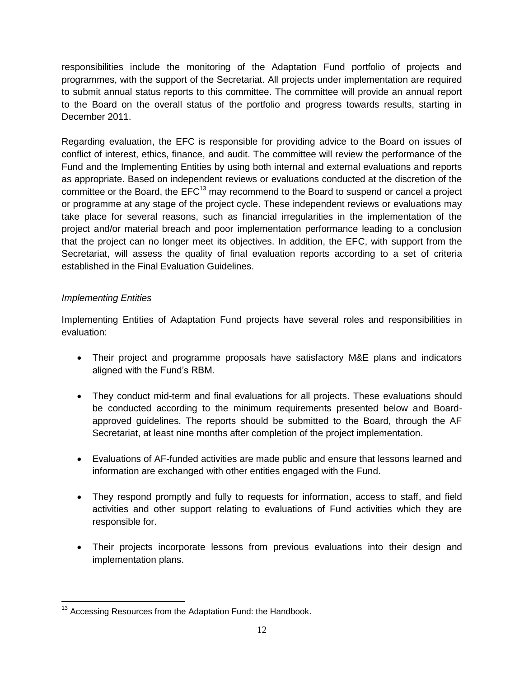responsibilities include the monitoring of the Adaptation Fund portfolio of projects and programmes, with the support of the Secretariat. All projects under implementation are required to submit annual status reports to this committee. The committee will provide an annual report to the Board on the overall status of the portfolio and progress towards results, starting in December 2011.

Regarding evaluation, the EFC is responsible for providing advice to the Board on issues of conflict of interest, ethics, finance, and audit. The committee will review the performance of the Fund and the Implementing Entities by using both internal and external evaluations and reports as appropriate. Based on independent reviews or evaluations conducted at the discretion of the committee or the Board, the  $EFC^{13}$  may recommend to the Board to suspend or cancel a project or programme at any stage of the project cycle. These independent reviews or evaluations may take place for several reasons, such as financial irregularities in the implementation of the project and/or material breach and poor implementation performance leading to a conclusion that the project can no longer meet its objectives. In addition, the EFC, with support from the Secretariat, will assess the quality of final evaluation reports according to a set of criteria established in the Final Evaluation Guidelines.

### <span id="page-12-0"></span>*Implementing Entities*

Implementing Entities of Adaptation Fund projects have several roles and responsibilities in evaluation:

- Their project and programme proposals have satisfactory M&E plans and indicators aligned with the Fund's RBM.
- They conduct mid-term and final evaluations for all projects. These evaluations should be conducted according to the minimum requirements presented below and Boardapproved guidelines. The reports should be submitted to the Board, through the AF Secretariat, at least nine months after completion of the project implementation.
- Evaluations of AF-funded activities are made public and ensure that lessons learned and information are exchanged with other entities engaged with the Fund.
- They respond promptly and fully to requests for information, access to staff, and field activities and other support relating to evaluations of Fund activities which they are responsible for.
- Their projects incorporate lessons from previous evaluations into their design and implementation plans.

 $\overline{a}$  $13$  Accessing Resources from the Adaptation Fund: the Handbook.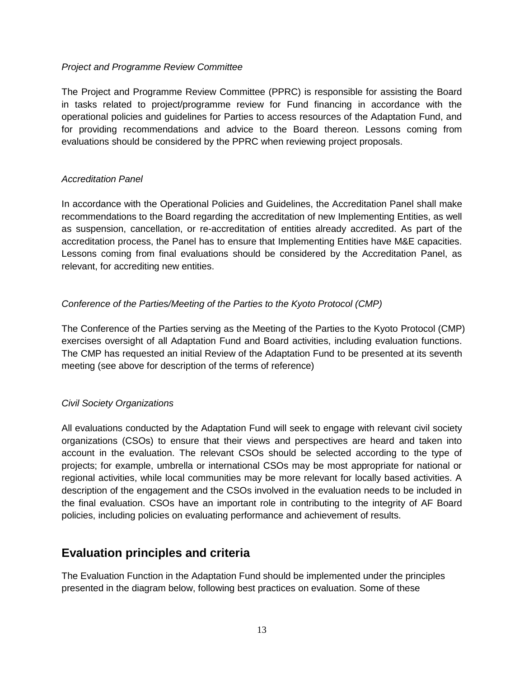#### <span id="page-13-0"></span>*Project and Programme Review Committee*

The Project and Programme Review Committee (PPRC) is responsible for assisting the Board in tasks related to project/programme review for Fund financing in accordance with the operational policies and guidelines for Parties to access resources of the Adaptation Fund, and for providing recommendations and advice to the Board thereon. Lessons coming from evaluations should be considered by the PPRC when reviewing project proposals.

#### <span id="page-13-1"></span>*Accreditation Panel*

In accordance with the Operational Policies and Guidelines, the Accreditation Panel shall make recommendations to the Board regarding the accreditation of new Implementing Entities, as well as suspension, cancellation, or re-accreditation of entities already accredited. As part of the accreditation process, the Panel has to ensure that Implementing Entities have M&E capacities. Lessons coming from final evaluations should be considered by the Accreditation Panel, as relevant, for accrediting new entities.

#### *Conference of the Parties/Meeting of the Parties to the Kyoto Protocol (CMP)*

The Conference of the Parties serving as the Meeting of the Parties to the Kyoto Protocol (CMP) exercises oversight of all Adaptation Fund and Board activities, including evaluation functions. The CMP has requested an initial Review of the Adaptation Fund to be presented at its seventh meeting (see above for description of the terms of reference)

#### <span id="page-13-2"></span>*Civil Society Organizations*

All evaluations conducted by the Adaptation Fund will seek to engage with relevant civil society organizations (CSOs) to ensure that their views and perspectives are heard and taken into account in the evaluation. The relevant CSOs should be selected according to the type of projects; for example, umbrella or international CSOs may be most appropriate for national or regional activities, while local communities may be more relevant for locally based activities. A description of the engagement and the CSOs involved in the evaluation needs to be included in the final evaluation. CSOs have an important role in contributing to the integrity of AF Board policies, including policies on evaluating performance and achievement of results.

## <span id="page-13-3"></span>**Evaluation principles and criteria**

The Evaluation Function in the Adaptation Fund should be implemented under the principles presented in the diagram below, following best practices on evaluation. Some of these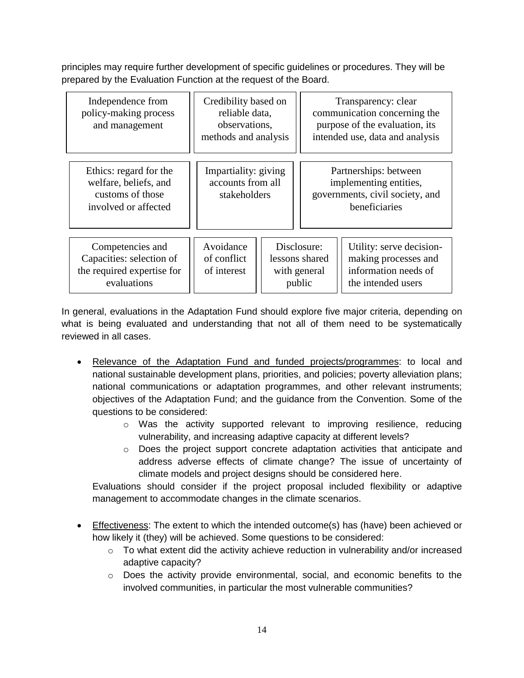principles may require further development of specific guidelines or procedures. They will be prepared by the Evaluation Function at the request of the Board.

| Independence from<br>policy-making process<br>and management                                | Credibility based on<br>reliable data,<br>observations,<br>methods and analysis |                                                         |  | Transparency: clear<br>communication concerning the<br>purpose of the evaluation, its<br>intended use, data and analysis |
|---------------------------------------------------------------------------------------------|---------------------------------------------------------------------------------|---------------------------------------------------------|--|--------------------------------------------------------------------------------------------------------------------------|
| Ethics: regard for the<br>welfare, beliefs, and<br>customs of those<br>involved or affected | Impartiality: giving<br>accounts from all<br>stakeholders                       |                                                         |  | Partnerships: between<br>implementing entities,<br>governments, civil society, and<br>beneficiaries                      |
| Competencies and<br>Capacities: selection of<br>the required expertise for<br>evaluations   | Avoidance<br>of conflict<br>of interest                                         | Disclosure:<br>lessons shared<br>with general<br>public |  | Utility: serve decision-<br>making processes and<br>information needs of<br>the intended users                           |

In general, evaluations in the Adaptation Fund should explore five major criteria, depending on what is being evaluated and understanding that not all of them need to be systematically reviewed in all cases.

- Relevance of the Adaptation Fund and funded projects/programmes: to local and national sustainable development plans, priorities, and policies; poverty alleviation plans; national communications or adaptation programmes, and other relevant instruments; objectives of the Adaptation Fund; and the guidance from the Convention. Some of the questions to be considered:
	- $\circ$  Was the activity supported relevant to improving resilience, reducing vulnerability, and increasing adaptive capacity at different levels?
	- $\circ$  Does the project support concrete adaptation activities that anticipate and address adverse effects of climate change? The issue of uncertainty of climate models and project designs should be considered here.

Evaluations should consider if the project proposal included flexibility or adaptive management to accommodate changes in the climate scenarios.

- Effectiveness: The extent to which the intended outcome(s) has (have) been achieved or how likely it (they) will be achieved. Some questions to be considered:
	- o To what extent did the activity achieve reduction in vulnerability and/or increased adaptive capacity?
	- $\circ$  Does the activity provide environmental, social, and economic benefits to the involved communities, in particular the most vulnerable communities?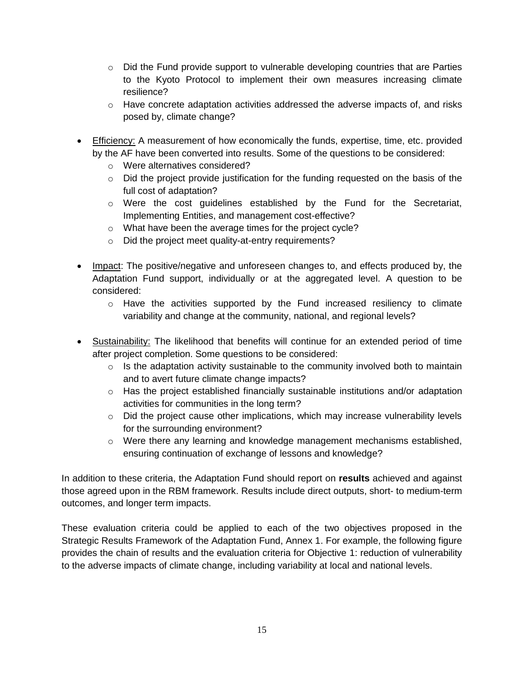- $\circ$  Did the Fund provide support to vulnerable developing countries that are Parties to the Kyoto Protocol to implement their own measures increasing climate resilience?
- $\circ$  Have concrete adaptation activities addressed the adverse impacts of, and risks posed by, climate change?
- **Efficiency:** A measurement of how economically the funds, expertise, time, etc. provided by the AF have been converted into results. Some of the questions to be considered:
	- o Were alternatives considered?
	- o Did the project provide justification for the funding requested on the basis of the full cost of adaptation?
	- $\circ$  Were the cost quidelines established by the Fund for the Secretariat, Implementing Entities, and management cost-effective?
	- o What have been the average times for the project cycle?
	- o Did the project meet quality-at-entry requirements?
- Impact: The positive/negative and unforeseen changes to, and effects produced by, the Adaptation Fund support, individually or at the aggregated level. A question to be considered:
	- $\circ$  Have the activities supported by the Fund increased resiliency to climate variability and change at the community, national, and regional levels?
- Sustainability: The likelihood that benefits will continue for an extended period of time after project completion. Some questions to be considered:
	- $\circ$  Is the adaptation activity sustainable to the community involved both to maintain and to avert future climate change impacts?
	- o Has the project established financially sustainable institutions and/or adaptation activities for communities in the long term?
	- $\circ$  Did the project cause other implications, which may increase vulnerability levels for the surrounding environment?
	- o Were there any learning and knowledge management mechanisms established, ensuring continuation of exchange of lessons and knowledge?

In addition to these criteria, the Adaptation Fund should report on **results** achieved and against those agreed upon in the RBM framework. Results include direct outputs, short- to medium-term outcomes, and longer term impacts.

These evaluation criteria could be applied to each of the two objectives proposed in the Strategic Results Framework of the Adaptation Fund, Annex 1. For example, the following figure provides the chain of results and the evaluation criteria for Objective 1: reduction of vulnerability to the adverse impacts of climate change, including variability at local and national levels.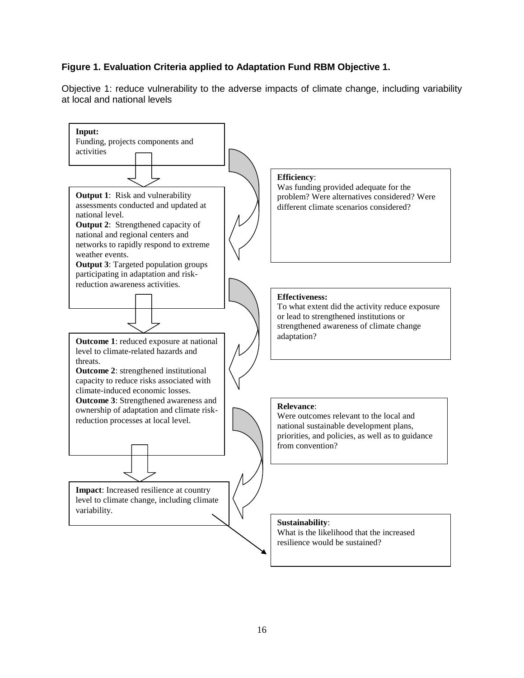### **Figure 1. Evaluation Criteria applied to Adaptation Fund RBM Objective 1.**

Objective 1: reduce vulnerability to the adverse impacts of climate change, including variability at local and national levels

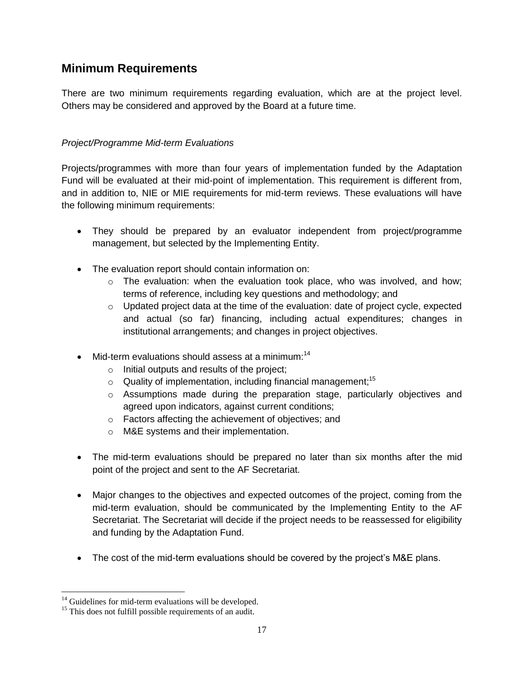# <span id="page-17-0"></span>**Minimum Requirements**

There are two minimum requirements regarding evaluation, which are at the project level. Others may be considered and approved by the Board at a future time.

### <span id="page-17-1"></span>*Project/Programme Mid-term Evaluations*

Projects/programmes with more than four years of implementation funded by the Adaptation Fund will be evaluated at their mid-point of implementation. This requirement is different from, and in addition to, NIE or MIE requirements for mid-term reviews. These evaluations will have the following minimum requirements:

- They should be prepared by an evaluator independent from project/programme management, but selected by the Implementing Entity.
- The evaluation report should contain information on:
	- o The evaluation: when the evaluation took place, who was involved, and how; terms of reference, including key questions and methodology; and
	- $\circ$  Updated project data at the time of the evaluation: date of project cycle, expected and actual (so far) financing, including actual expenditures; changes in institutional arrangements; and changes in project objectives.
- $\bullet$  Mid-term evaluations should assess at a minimum:<sup>14</sup>
	- o Initial outputs and results of the project;
	- $\circ$  Quality of implementation, including financial management;<sup>15</sup>
	- o Assumptions made during the preparation stage, particularly objectives and agreed upon indicators, against current conditions;
	- o Factors affecting the achievement of objectives; and
	- o M&E systems and their implementation.
- The mid-term evaluations should be prepared no later than six months after the mid point of the project and sent to the AF Secretariat.
- Major changes to the objectives and expected outcomes of the project, coming from the mid-term evaluation, should be communicated by the Implementing Entity to the AF Secretariat. The Secretariat will decide if the project needs to be reassessed for eligibility and funding by the Adaptation Fund.
- The cost of the mid-term evaluations should be covered by the project's M&E plans.

 $\overline{a}$ 

 $14$  Guidelines for mid-term evaluations will be developed.

<sup>&</sup>lt;sup>15</sup> This does not fulfill possible requirements of an audit.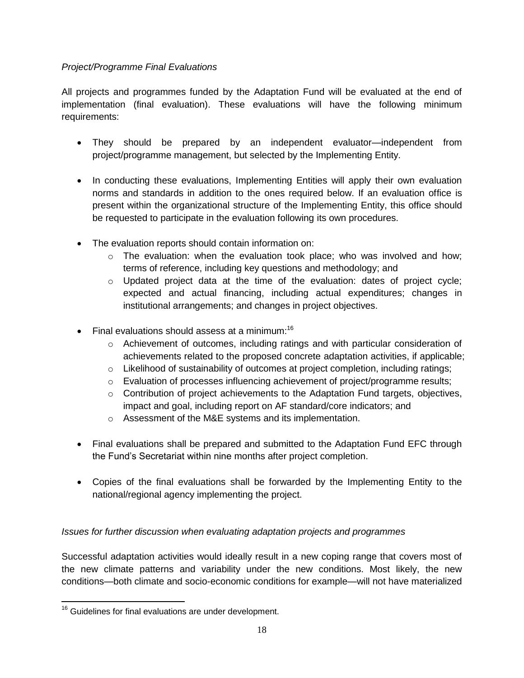### <span id="page-18-0"></span>*Project/Programme Final Evaluations*

All projects and programmes funded by the Adaptation Fund will be evaluated at the end of implementation (final evaluation). These evaluations will have the following minimum requirements:

- They should be prepared by an independent evaluator—independent from project/programme management, but selected by the Implementing Entity.
- In conducting these evaluations, Implementing Entities will apply their own evaluation norms and standards in addition to the ones required below. If an evaluation office is present within the organizational structure of the Implementing Entity, this office should be requested to participate in the evaluation following its own procedures.
- The evaluation reports should contain information on:
	- $\circ$  The evaluation: when the evaluation took place; who was involved and how; terms of reference, including key questions and methodology; and
	- $\circ$  Updated project data at the time of the evaluation: dates of project cycle; expected and actual financing, including actual expenditures; changes in institutional arrangements; and changes in project objectives.
- Final evaluations should assess at a minimum:<sup>16</sup>
	- o Achievement of outcomes, including ratings and with particular consideration of achievements related to the proposed concrete adaptation activities, if applicable;
	- $\circ$  Likelihood of sustainability of outcomes at project completion, including ratings;
	- o Evaluation of processes influencing achievement of project/programme results;
	- $\circ$  Contribution of project achievements to the Adaptation Fund targets, objectives, impact and goal, including report on AF standard/core indicators; and
	- o Assessment of the M&E systems and its implementation.
- Final evaluations shall be prepared and submitted to the Adaptation Fund EFC through the Fund's Secretariat within nine months after project completion.
- Copies of the final evaluations shall be forwarded by the Implementing Entity to the national/regional agency implementing the project.

### <span id="page-18-1"></span>*Issues for further discussion when evaluating adaptation projects and programmes*

Successful adaptation activities would ideally result in a new coping range that covers most of the new climate patterns and variability under the new conditions. Most likely, the new conditions—both climate and socio-economic conditions for example—will not have materialized

 $\overline{a}$  $16$  Guidelines for final evaluations are under development.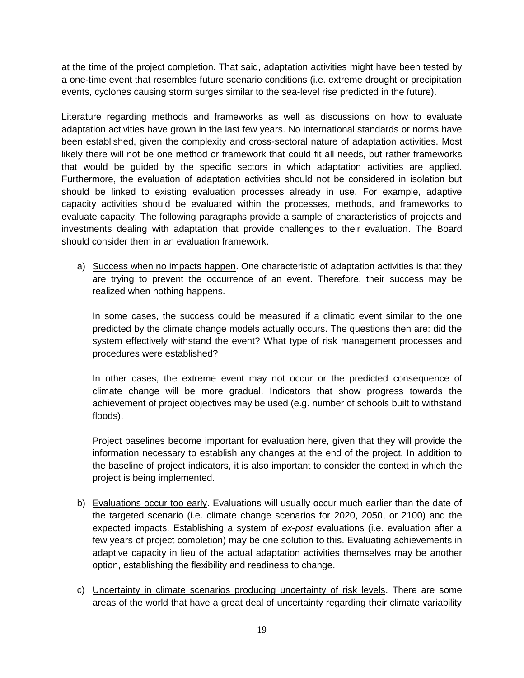at the time of the project completion. That said, adaptation activities might have been tested by a one-time event that resembles future scenario conditions (i.e. extreme drought or precipitation events, cyclones causing storm surges similar to the sea-level rise predicted in the future).

Literature regarding methods and frameworks as well as discussions on how to evaluate adaptation activities have grown in the last few years. No international standards or norms have been established, given the complexity and cross-sectoral nature of adaptation activities. Most likely there will not be one method or framework that could fit all needs, but rather frameworks that would be guided by the specific sectors in which adaptation activities are applied. Furthermore, the evaluation of adaptation activities should not be considered in isolation but should be linked to existing evaluation processes already in use. For example, adaptive capacity activities should be evaluated within the processes, methods, and frameworks to evaluate capacity. The following paragraphs provide a sample of characteristics of projects and investments dealing with adaptation that provide challenges to their evaluation. The Board should consider them in an evaluation framework.

a) Success when no impacts happen. One characteristic of adaptation activities is that they are trying to prevent the occurrence of an event. Therefore, their success may be realized when nothing happens.

In some cases, the success could be measured if a climatic event similar to the one predicted by the climate change models actually occurs. The questions then are: did the system effectively withstand the event? What type of risk management processes and procedures were established?

In other cases, the extreme event may not occur or the predicted consequence of climate change will be more gradual. Indicators that show progress towards the achievement of project objectives may be used (e.g. number of schools built to withstand floods).

Project baselines become important for evaluation here, given that they will provide the information necessary to establish any changes at the end of the project. In addition to the baseline of project indicators, it is also important to consider the context in which the project is being implemented.

- b) Evaluations occur too early. Evaluations will usually occur much earlier than the date of the targeted scenario (i.e. climate change scenarios for 2020, 2050, or 2100) and the expected impacts. Establishing a system of *ex-post* evaluations (i.e. evaluation after a few years of project completion) may be one solution to this. Evaluating achievements in adaptive capacity in lieu of the actual adaptation activities themselves may be another option, establishing the flexibility and readiness to change.
- c) Uncertainty in climate scenarios producing uncertainty of risk levels. There are some areas of the world that have a great deal of uncertainty regarding their climate variability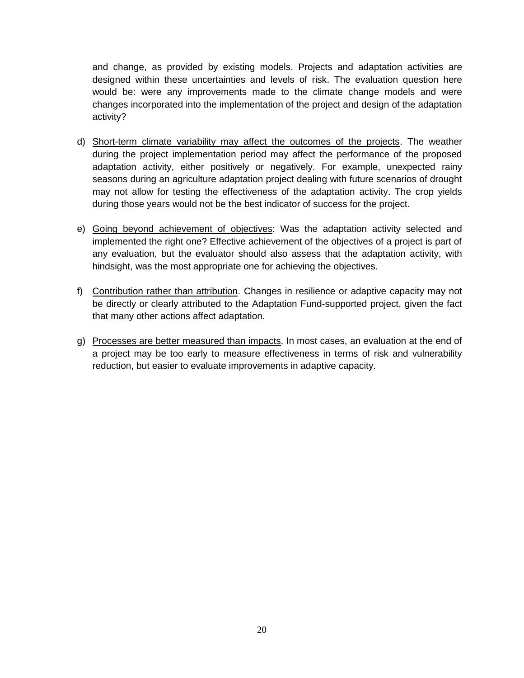and change, as provided by existing models. Projects and adaptation activities are designed within these uncertainties and levels of risk. The evaluation question here would be: were any improvements made to the climate change models and were changes incorporated into the implementation of the project and design of the adaptation activity?

- d) Short-term climate variability may affect the outcomes of the projects. The weather during the project implementation period may affect the performance of the proposed adaptation activity, either positively or negatively. For example, unexpected rainy seasons during an agriculture adaptation project dealing with future scenarios of drought may not allow for testing the effectiveness of the adaptation activity. The crop yields during those years would not be the best indicator of success for the project.
- e) Going beyond achievement of objectives: Was the adaptation activity selected and implemented the right one? Effective achievement of the objectives of a project is part of any evaluation, but the evaluator should also assess that the adaptation activity, with hindsight, was the most appropriate one for achieving the objectives.
- f) Contribution rather than attribution. Changes in resilience or adaptive capacity may not be directly or clearly attributed to the Adaptation Fund-supported project, given the fact that many other actions affect adaptation.
- g) Processes are better measured than impacts. In most cases, an evaluation at the end of a project may be too early to measure effectiveness in terms of risk and vulnerability reduction, but easier to evaluate improvements in adaptive capacity.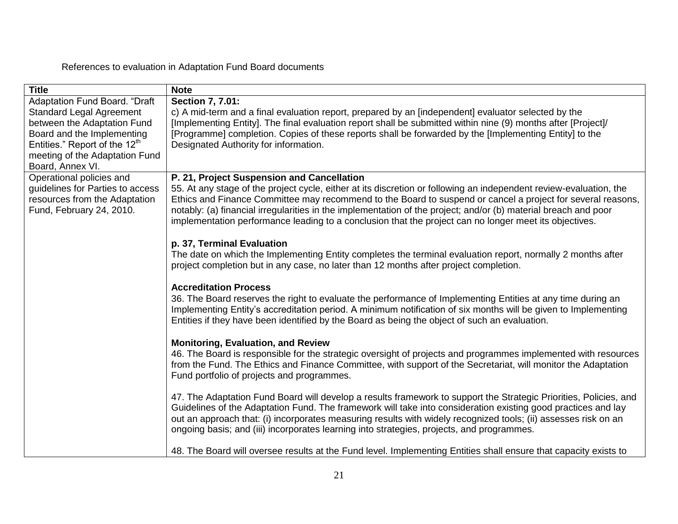# References to evaluation in Adaptation Fund Board documents

<span id="page-21-0"></span>

| <b>Title</b>                                                                                                                                                                                                                     | <b>Note</b>                                                                                                                                                                                                                                                                                                                                                                                                                                                                                                  |
|----------------------------------------------------------------------------------------------------------------------------------------------------------------------------------------------------------------------------------|--------------------------------------------------------------------------------------------------------------------------------------------------------------------------------------------------------------------------------------------------------------------------------------------------------------------------------------------------------------------------------------------------------------------------------------------------------------------------------------------------------------|
| Adaptation Fund Board. "Draft<br><b>Standard Legal Agreement</b><br>between the Adaptation Fund<br>Board and the Implementing<br>Entities." Report of the 12 <sup>th</sup><br>meeting of the Adaptation Fund<br>Board, Annex VI. | Section 7, 7.01:<br>c) A mid-term and a final evaluation report, prepared by an [independent] evaluator selected by the<br>[Implementing Entity]. The final evaluation report shall be submitted within nine (9) months after [Project]/<br>[Programme] completion. Copies of these reports shall be forwarded by the [Implementing Entity] to the<br>Designated Authority for information.                                                                                                                  |
| Operational policies and<br>guidelines for Parties to access<br>resources from the Adaptation<br>Fund, February 24, 2010.                                                                                                        | P. 21, Project Suspension and Cancellation<br>55. At any stage of the project cycle, either at its discretion or following an independent review-evaluation, the<br>Ethics and Finance Committee may recommend to the Board to suspend or cancel a project for several reasons,<br>notably: (a) financial irregularities in the implementation of the project; and/or (b) material breach and poor<br>implementation performance leading to a conclusion that the project can no longer meet its objectives. |
|                                                                                                                                                                                                                                  | p. 37, Terminal Evaluation<br>The date on which the Implementing Entity completes the terminal evaluation report, normally 2 months after<br>project completion but in any case, no later than 12 months after project completion.                                                                                                                                                                                                                                                                           |
|                                                                                                                                                                                                                                  | <b>Accreditation Process</b><br>36. The Board reserves the right to evaluate the performance of Implementing Entities at any time during an<br>Implementing Entity's accreditation period. A minimum notification of six months will be given to Implementing<br>Entities if they have been identified by the Board as being the object of such an evaluation.                                                                                                                                               |
|                                                                                                                                                                                                                                  | <b>Monitoring, Evaluation, and Review</b><br>46. The Board is responsible for the strategic oversight of projects and programmes implemented with resources<br>from the Fund. The Ethics and Finance Committee, with support of the Secretariat, will monitor the Adaptation<br>Fund portfolio of projects and programmes.                                                                                                                                                                                   |
|                                                                                                                                                                                                                                  | 47. The Adaptation Fund Board will develop a results framework to support the Strategic Priorities, Policies, and<br>Guidelines of the Adaptation Fund. The framework will take into consideration existing good practices and lay<br>out an approach that: (i) incorporates measuring results with widely recognized tools; (ii) assesses risk on an<br>ongoing basis; and (iii) incorporates learning into strategies, projects, and programmes.                                                           |
|                                                                                                                                                                                                                                  | 48. The Board will oversee results at the Fund level. Implementing Entities shall ensure that capacity exists to                                                                                                                                                                                                                                                                                                                                                                                             |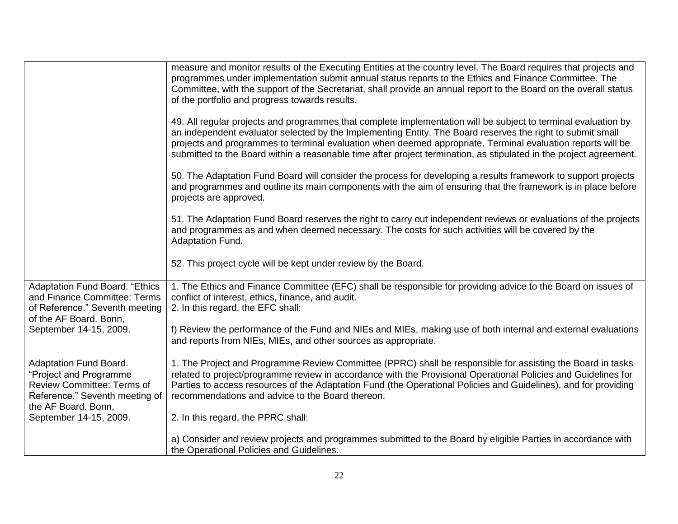|                                                                                                                                                | measure and monitor results of the Executing Entities at the country level. The Board requires that projects and<br>programmes under implementation submit annual status reports to the Ethics and Finance Committee. The<br>Committee, with the support of the Secretariat, shall provide an annual report to the Board on the overall status<br>of the portfolio and progress towards results.<br>49. All regular projects and programmes that complete implementation will be subject to terminal evaluation by<br>an independent evaluator selected by the Implementing Entity. The Board reserves the right to submit small<br>projects and programmes to terminal evaluation when deemed appropriate. Terminal evaluation reports will be |
|------------------------------------------------------------------------------------------------------------------------------------------------|-------------------------------------------------------------------------------------------------------------------------------------------------------------------------------------------------------------------------------------------------------------------------------------------------------------------------------------------------------------------------------------------------------------------------------------------------------------------------------------------------------------------------------------------------------------------------------------------------------------------------------------------------------------------------------------------------------------------------------------------------|
|                                                                                                                                                | submitted to the Board within a reasonable time after project termination, as stipulated in the project agreement.<br>50. The Adaptation Fund Board will consider the process for developing a results framework to support projects<br>and programmes and outline its main components with the aim of ensuring that the framework is in place before<br>projects are approved.                                                                                                                                                                                                                                                                                                                                                                 |
|                                                                                                                                                | 51. The Adaptation Fund Board reserves the right to carry out independent reviews or evaluations of the projects<br>and programmes as and when deemed necessary. The costs for such activities will be covered by the<br><b>Adaptation Fund.</b>                                                                                                                                                                                                                                                                                                                                                                                                                                                                                                |
|                                                                                                                                                | 52. This project cycle will be kept under review by the Board.                                                                                                                                                                                                                                                                                                                                                                                                                                                                                                                                                                                                                                                                                  |
| <b>Adaptation Fund Board. "Ethics</b><br>and Finance Committee: Terms<br>of Reference." Seventh meeting<br>of the AF Board. Bonn,              | 1. The Ethics and Finance Committee (EFC) shall be responsible for providing advice to the Board on issues of<br>conflict of interest, ethics, finance, and audit.<br>2. In this regard, the EFC shall:                                                                                                                                                                                                                                                                                                                                                                                                                                                                                                                                         |
| September 14-15, 2009.                                                                                                                         | f) Review the performance of the Fund and NIEs and MIEs, making use of both internal and external evaluations<br>and reports from NIEs, MIEs, and other sources as appropriate.                                                                                                                                                                                                                                                                                                                                                                                                                                                                                                                                                                 |
| Adaptation Fund Board.<br>"Project and Programme<br><b>Review Committee: Terms of</b><br>Reference." Seventh meeting of<br>the AF Board. Bonn, | 1. The Project and Programme Review Committee (PPRC) shall be responsible for assisting the Board in tasks<br>related to project/programme review in accordance with the Provisional Operational Policies and Guidelines for<br>Parties to access resources of the Adaptation Fund (the Operational Policies and Guidelines), and for providing<br>recommendations and advice to the Board thereon.                                                                                                                                                                                                                                                                                                                                             |
| September 14-15, 2009.                                                                                                                         | 2. In this regard, the PPRC shall:                                                                                                                                                                                                                                                                                                                                                                                                                                                                                                                                                                                                                                                                                                              |
|                                                                                                                                                | a) Consider and review projects and programmes submitted to the Board by eligible Parties in accordance with<br>the Operational Policies and Guidelines.                                                                                                                                                                                                                                                                                                                                                                                                                                                                                                                                                                                        |